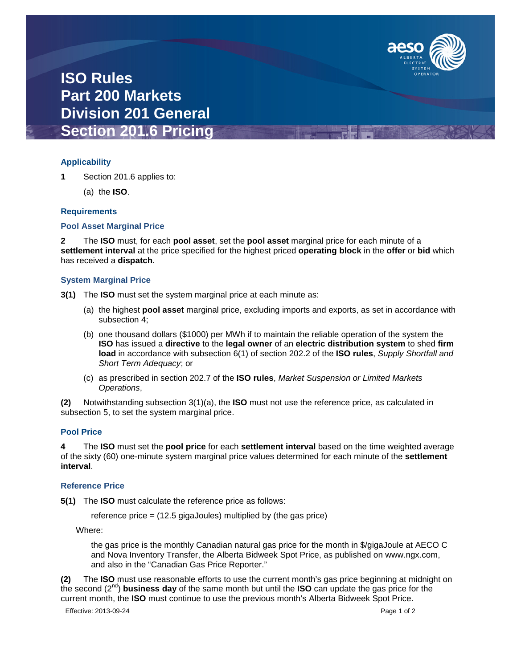

## **ISO Rules Part 200 Markets Division 201 General Section 201.6 Pricing**

## **Applicability**

**1** Section 201.6 applies to:

(a) the **ISO**.

## **Requirements**

### **Pool Asset Marginal Price**

**2** The **ISO** must, for each **pool asset**, set the **pool asset** marginal price for each minute of a **settlement interval** at the price specified for the highest priced **operating block** in the **offer** or **bid** which has received a **dispatch**.

## **System Marginal Price**

- **3(1)** The **ISO** must set the system marginal price at each minute as:
	- (a) the highest **pool asset** marginal price, excluding imports and exports, as set in accordance with subsection 4;
	- (b) one thousand dollars (\$1000) per MWh if to maintain the reliable operation of the system the **ISO** has issued a **directive** to the **legal owner** of an **electric distribution system** to shed **firm load** in accordance with subsection 6(1) of section 202.2 of the **ISO rules**, *Supply Shortfall and Short Term Adequacy*; or
	- (c) as prescribed in section 202.7 of the **ISO rules**, *Market Suspension or Limited Markets Operations*,

**(2)** Notwithstanding subsection 3(1)(a), the **ISO** must not use the reference price, as calculated in subsection 5, to set the system marginal price.

### **Pool Price**

**4** The **ISO** must set the **pool price** for each **settlement interval** based on the time weighted average of the sixty (60) one-minute system marginal price values determined for each minute of the **settlement interval**.

### **Reference Price**

**5(1)** The **ISO** must calculate the reference price as follows:

reference price = (12.5 gigaJoules) multiplied by (the gas price)

Where:

the gas price is the monthly Canadian natural gas price for the month in \$/gigaJoule at AECO C and Nova Inventory Transfer, the Alberta Bidweek Spot Price, as published on www.ngx.com, and also in the "Canadian Gas Price Reporter."

**(2)** The **ISO** must use reasonable efforts to use the current month's gas price beginning at midnight on the second (2nd) **business day** of the same month but until the **ISO** can update the gas price for the current month, the **ISO** must continue to use the previous month's Alberta Bidweek Spot Price.

Effective: 2013-09-24 Page 1 of 2